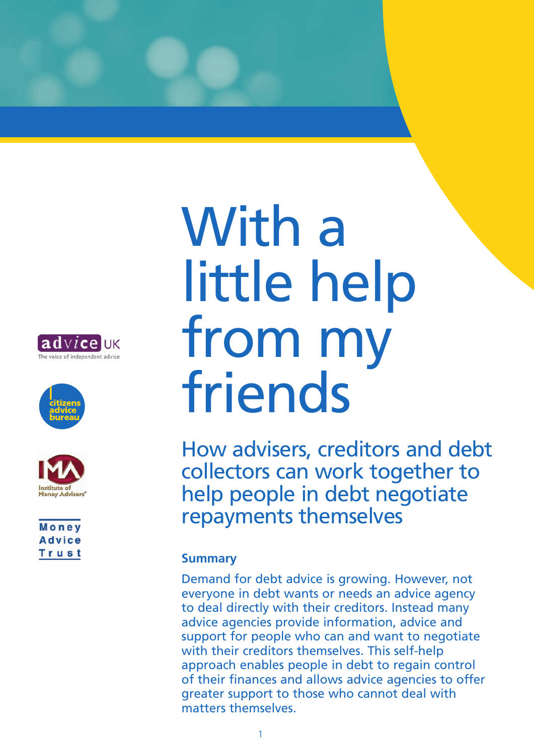





Money **Advice** Trust

# With a little help from my friends

How advisers, creditors and debt collectors can work together to help people in debt negotiate repayments themselves

## **Summary**

Demand for debt advice is growing. However, not everyone in debt wants or needs an advice agency to deal directly with their creditors. Instead many advice agencies provide information, advice and support for people who can and want to negotiate with their creditors themselves. This self-help approach enables people in debt to regain control of their finances and allows advice agencies to offer greater support to those who cannot deal with matters themselves.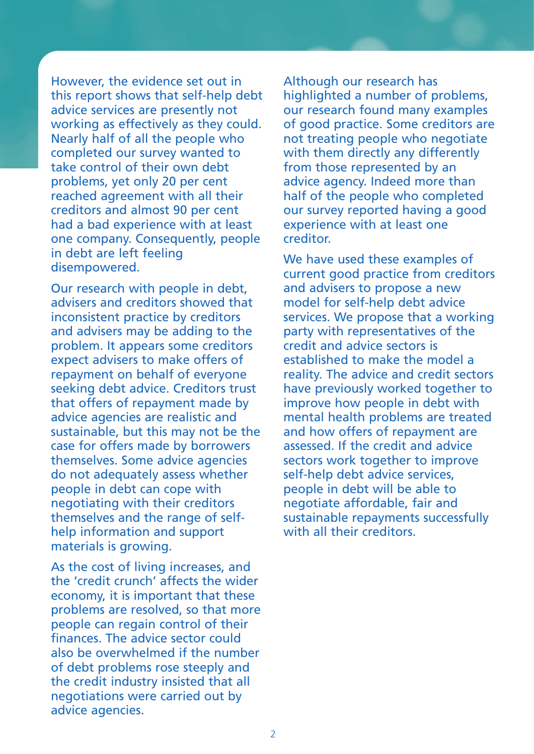However, the evidence set out in this report shows that self-help debt advice services are presently not working as effectively as they could. Nearly half of all the people who completed our survey wanted to take control of their own debt problems, yet only 20 per cent reached agreement with all their creditors and almost 90 per cent had a bad experience with at least one company. Consequently, people in debt are left feeling disempowered.

Our research with people in debt, advisers and creditors showed that inconsistent practice by creditors and advisers may be adding to the problem. It appears some creditors expect advisers to make offers of repayment on behalf of everyone seeking debt advice. Creditors trust that offers of repayment made by advice agencies are realistic and sustainable, but this may not be the case for offers made by borrowers themselves. Some advice agencies do not adequately assess whether people in debt can cope with negotiating with their creditors themselves and the range of selfhelp information and support materials is growing.

As the cost of living increases, and the 'credit crunch' affects the wider economy, it is important that these problems are resolved, so that more people can regain control of their finances. The advice sector could also be overwhelmed if the number of debt problems rose steeply and the credit industry insisted that all negotiations were carried out by advice agencies.

Although our research has highlighted a number of problems, our research found many examples of good practice. Some creditors are not treating people who negotiate with them directly any differently from those represented by an advice agency. Indeed more than half of the people who completed our survey reported having a good experience with at least one creditor.

We have used these examples of current good practice from creditors and advisers to propose a new model for self-help debt advice services. We propose that a working party with representatives of the credit and advice sectors is established to make the model a reality. The advice and credit sectors have previously worked together to improve how people in debt with mental health problems are treated and how offers of repayment are assessed. If the credit and advice sectors work together to improve self-help debt advice services, people in debt will be able to negotiate affordable, fair and sustainable repayments successfully with all their creditors.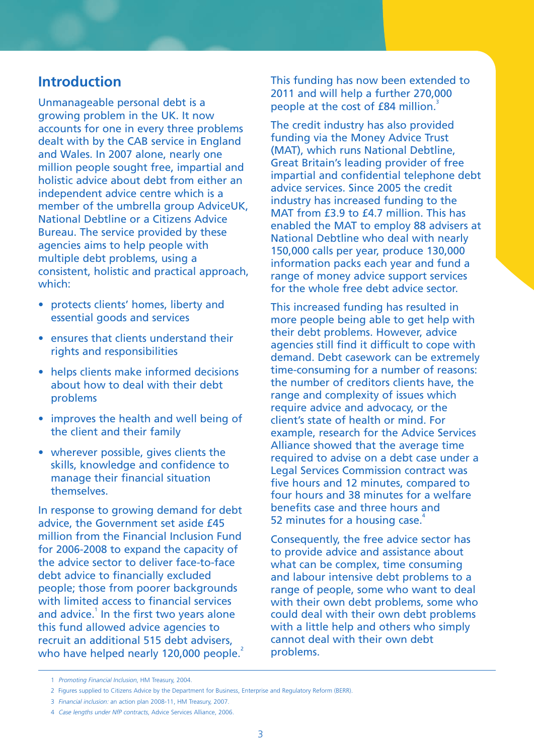# **Introduction**

Unmanageable personal debt is a growing problem in the UK. It now accounts for one in every three problems dealt with by the CAB service in England and Wales. In 2007 alone, nearly one million people sought free, impartial and holistic advice about debt from either an independent advice centre which is a member of the umbrella group AdviceUK, National Debtline or a Citizens Advice Bureau. The service provided by these agencies aims to help people with multiple debt problems, using a consistent, holistic and practical approach, which:

- protects clients' homes, liberty and essential goods and services
- ensures that clients understand their rights and responsibilities
- helps clients make informed decisions about how to deal with their debt problems
- improves the health and well being of the client and their family
- wherever possible, gives clients the skills, knowledge and confidence to manage their financial situation themselves.

In response to growing demand for debt advice, the Government set aside £45 million from the Financial Inclusion Fund for 2006-2008 to expand the capacity of the advice sector to deliver face-to-face debt advice to financially excluded people; those from poorer backgrounds with limited access to financial services and advice.<sup>1</sup> In the first two years alone this fund allowed advice agencies to recruit an additional 515 debt advisers, who have helped nearly 120,000 people.<sup>2</sup>

This funding has now been extended to 2011 and will help a further 270,000 people at the cost of £84 million.<sup>3</sup>

The credit industry has also provided funding via the Money Advice Trust (MAT), which runs National Debtline, Great Britain's leading provider of free impartial and confidential telephone debt advice services. Since 2005 the credit industry has increased funding to the MAT from £3.9 to £4.7 million. This has enabled the MAT to employ 88 advisers at National Debtline who deal with nearly 150,000 calls per year, produce 130,000 information packs each year and fund a range of money advice support services for the whole free debt advice sector.

This increased funding has resulted in more people being able to get help with their debt problems. However, advice agencies still find it difficult to cope with demand. Debt casework can be extremely time-consuming for a number of reasons: the number of creditors clients have, the range and complexity of issues which require advice and advocacy, or the client's state of health or mind. For example, research for the Advice Services Alliance showed that the average time required to advise on a debt case under a Legal Services Commission contract was five hours and 12 minutes, compared to four hours and 38 minutes for a welfare benefits case and three hours and 52 minutes for a housing case.

Consequently, the free advice sector has to provide advice and assistance about what can be complex, time consuming and labour intensive debt problems to a range of people, some who want to deal with their own debt problems, some who could deal with their own debt problems with a little help and others who simply cannot deal with their own debt problems.

<sup>1</sup> Promoting Financial Inclusion, HM Treasury, 2004.

<sup>2</sup> Figures supplied to Citizens Advice by the Department for Business, Enterprise and Regulatory Reform (BERR).

<sup>3</sup> Financial inclusion: an action plan 2008-11, HM Treasury, 2007.

<sup>4</sup> Case lengths under NfP contracts, Advice Services Alliance, 2006.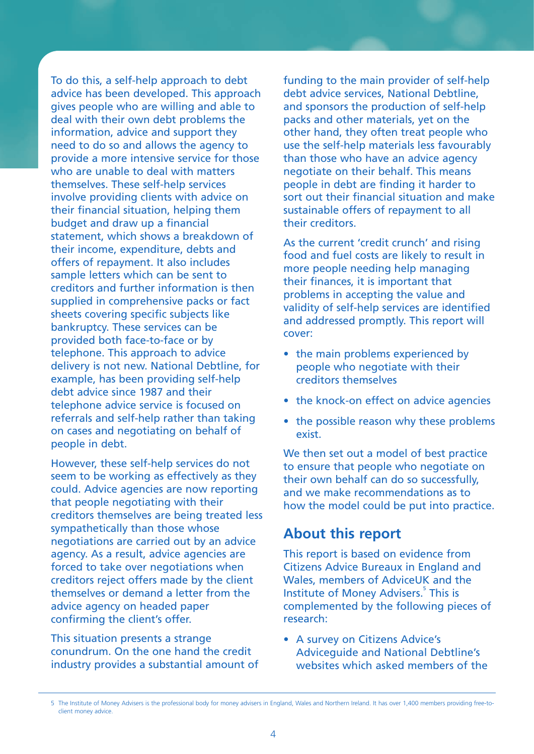To do this, a self-help approach to debt advice has been developed. This approach gives people who are willing and able to deal with their own debt problems the information, advice and support they need to do so and allows the agency to provide a more intensive service for those who are unable to deal with matters themselves. These self-help services involve providing clients with advice on their financial situation, helping them budget and draw up a financial statement, which shows a breakdown of their income, expenditure, debts and offers of repayment. It also includes sample letters which can be sent to creditors and further information is then supplied in comprehensive packs or fact sheets covering specific subjects like bankruptcy. These services can be provided both face-to-face or by telephone. This approach to advice delivery is not new. National Debtline, for example, has been providing self-help debt advice since 1987 and their telephone advice service is focused on referrals and self-help rather than taking on cases and negotiating on behalf of people in debt.

However, these self-help services do not seem to be working as effectively as they could. Advice agencies are now reporting that people negotiating with their creditors themselves are being treated less sympathetically than those whose negotiations are carried out by an advice agency. As a result, advice agencies are forced to take over negotiations when creditors reject offers made by the client themselves or demand a letter from the advice agency on headed paper confirming the client's offer.

This situation presents a strange conundrum. On the one hand the credit industry provides a substantial amount of funding to the main provider of self-help debt advice services, National Debtline, and sponsors the production of self-help packs and other materials, yet on the other hand, they often treat people who use the self-help materials less favourably than those who have an advice agency negotiate on their behalf. This means people in debt are finding it harder to sort out their financial situation and make sustainable offers of repayment to all their creditors.

As the current 'credit crunch' and rising food and fuel costs are likely to result in more people needing help managing their finances, it is important that problems in accepting the value and validity of self-help services are identified and addressed promptly. This report will cover:

- the main problems experienced by people who negotiate with their creditors themselves
- the knock-on effect on advice agencies
- the possible reason why these problems exist.

We then set out a model of best practice to ensure that people who negotiate on their own behalf can do so successfully, and we make recommendations as to how the model could be put into practice.

# **About this report**

This report is based on evidence from Citizens Advice Bureaux in England and Wales, members of AdviceUK and the Institute of Money Advisers.<sup>5</sup> This is complemented by the following pieces of research:

• A survey on Citizens Advice's Adviceguide and National Debtline's websites which asked members of the

<sup>5</sup> The Institute of Money Advisers is the professional body for money advisers in England, Wales and Northern Ireland. It has over 1,400 members providing free-toclient money advice.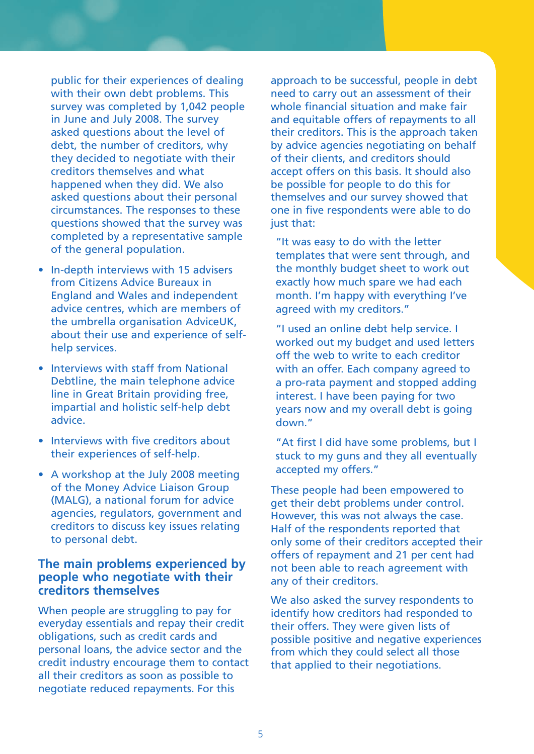public for their experiences of dealing with their own debt problems. This survey was completed by 1,042 people in June and July 2008. The survey asked questions about the level of debt, the number of creditors, why they decided to negotiate with their creditors themselves and what happened when they did. We also asked questions about their personal circumstances. The responses to these questions showed that the survey was completed by a representative sample of the general population.

- In-depth interviews with 15 advisers from Citizens Advice Bureaux in England and Wales and independent advice centres, which are members of the umbrella organisation AdviceUK, about their use and experience of selfhelp services.
- Interviews with staff from National Debtline, the main telephone advice line in Great Britain providing free, impartial and holistic self-help debt advice.
- Interviews with five creditors about their experiences of self-help.
- A workshop at the July 2008 meeting of the Money Advice Liaison Group (MALG), a national forum for advice agencies, regulators, government and creditors to discuss key issues relating to personal debt.

## **The main problems experienced by people who negotiate with their creditors themselves**

When people are struggling to pay for everyday essentials and repay their credit obligations, such as credit cards and personal loans, the advice sector and the credit industry encourage them to contact all their creditors as soon as possible to negotiate reduced repayments. For this

approach to be successful, people in debt need to carry out an assessment of their whole financial situation and make fair and equitable offers of repayments to all their creditors. This is the approach taken by advice agencies negotiating on behalf of their clients, and creditors should accept offers on this basis. It should also be possible for people to do this for themselves and our survey showed that one in five respondents were able to do just that:

"It was easy to do with the letter templates that were sent through, and the monthly budget sheet to work out exactly how much spare we had each month. I'm happy with everything I've agreed with my creditors."

"I used an online debt help service. I worked out my budget and used letters off the web to write to each creditor with an offer. Each company agreed to a pro-rata payment and stopped adding interest. I have been paying for two years now and my overall debt is going down."

"At first I did have some problems, but I stuck to my guns and they all eventually accepted my offers."

These people had been empowered to get their debt problems under control. However, this was not always the case. Half of the respondents reported that only some of their creditors accepted their offers of repayment and 21 per cent had not been able to reach agreement with any of their creditors.

We also asked the survey respondents to identify how creditors had responded to their offers. They were given lists of possible positive and negative experiences from which they could select all those that applied to their negotiations.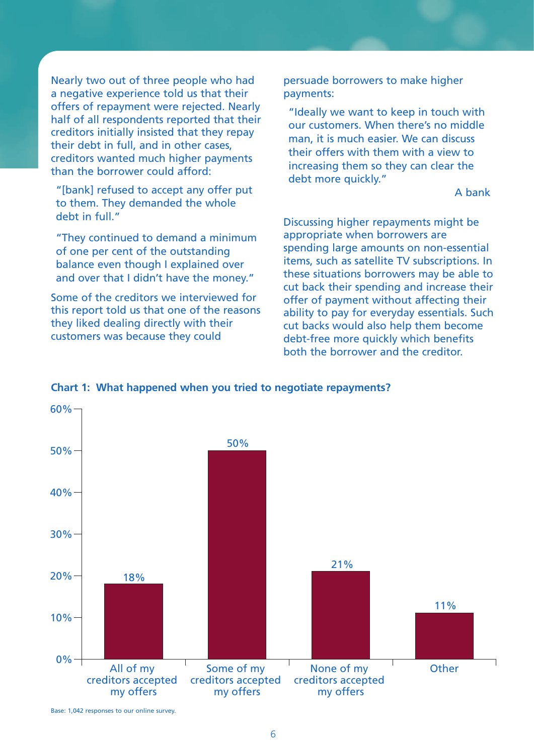Nearly two out of three people who had a negative experience told us that their offers of repayment were rejected. Nearly half of all respondents reported that their creditors initially insisted that they repay their debt in full, and in other cases, creditors wanted much higher payments than the borrower could afford:

"[bank] refused to accept any offer put to them. They demanded the whole debt in full."

"They continued to demand a minimum of one per cent of the outstanding balance even though I explained over and over that I didn't have the money."

Some of the creditors we interviewed for this report told us that one of the reasons they liked dealing directly with their customers was because they could

persuade borrowers to make higher payments:

"Ideally we want to keep in touch with our customers. When there's no middle man, it is much easier. We can discuss their offers with them with a view to increasing them so they can clear the debt more quickly."

## A bank

Discussing higher repayments might be appropriate when borrowers are spending large amounts on non-essential items, such as satellite TV subscriptions. In these situations borrowers may be able to cut back their spending and increase their offer of payment without affecting their ability to pay for everyday essentials. Such cut backs would also help them become debt-free more quickly which benefits both the borrower and the creditor.



**Chart 1: What happened when you tried to negotiate repayments?**

Base: 1,042 responses to our online survey.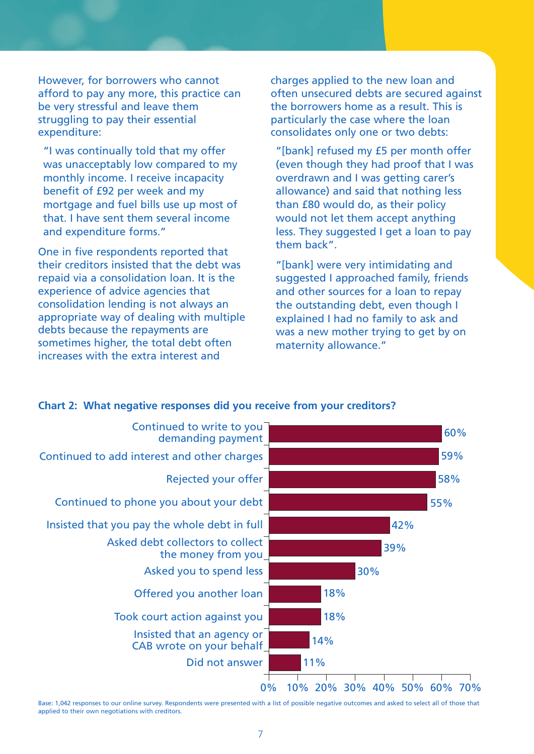However, for borrowers who cannot afford to pay any more, this practice can be very stressful and leave them struggling to pay their essential expenditure:

"I was continually told that my offer was unacceptably low compared to my monthly income. I receive incapacity benefit of £92 per week and my mortgage and fuel bills use up most of that. I have sent them several income and expenditure forms."

One in five respondents reported that their creditors insisted that the debt was repaid via a consolidation loan. It is the experience of advice agencies that consolidation lending is not always an appropriate way of dealing with multiple debts because the repayments are sometimes higher, the total debt often increases with the extra interest and

charges applied to the new loan and often unsecured debts are secured against the borrowers home as a result. This is particularly the case where the loan consolidates only one or two debts:

"[bank] refused my £5 per month offer (even though they had proof that I was overdrawn and I was getting carer's allowance) and said that nothing less than £80 would do, as their policy would not let them accept anything less. They suggested I get a loan to pay them back".

"[bank] were very intimidating and suggested I approached family, friends and other sources for a loan to repay the outstanding debt, even though I explained I had no family to ask and was a new mother trying to get by on maternity allowance."

#### 0% 10% 20% 30% 40% 50% 60% 70% Did not answer Insisted that an agency or CAB wrote on your behalf Took court action against you Offered you another loan Asked you to spend less Asked debt collectors to collect the money from you Insisted that you pay the whole debt in full Continued to phone you about your debt Rejected your offer Continued to add interest and other charges Continued to write to you demanding payment 59% 58% 55% 42% 39% 30% 18% 18% 14% 11%

#### **Chart 2: What negative responses did you receive from your creditors?**

Base: 1,042 responses to our online survey. Respondents were presented with a list of possible negative outcomes and asked to select all of those that applied to their own negotiations with creditors.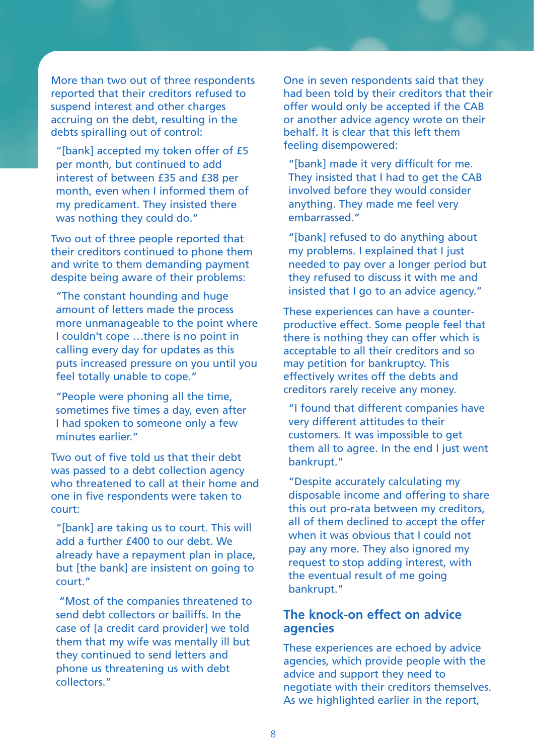More than two out of three respondents reported that their creditors refused to suspend interest and other charges accruing on the debt, resulting in the debts spiralling out of control:

"[bank] accepted my token offer of £5 per month, but continued to add interest of between £35 and £38 per month, even when I informed them of my predicament. They insisted there was nothing they could do."

Two out of three people reported that their creditors continued to phone them and write to them demanding payment despite being aware of their problems:

"The constant hounding and huge amount of letters made the process more unmanageable to the point where I couldn't cope …there is no point in calling every day for updates as this puts increased pressure on you until you feel totally unable to cope."

"People were phoning all the time, sometimes five times a day, even after I had spoken to someone only a few minutes earlier."

Two out of five told us that their debt was passed to a debt collection agency who threatened to call at their home and one in five respondents were taken to court:

"[bank] are taking us to court. This will add a further £400 to our debt. We already have a repayment plan in place, but [the bank] are insistent on going to court."

"Most of the companies threatened to send debt collectors or bailiffs. In the case of [a credit card provider] we told them that my wife was mentally ill but they continued to send letters and phone us threatening us with debt collectors."

One in seven respondents said that they had been told by their creditors that their offer would only be accepted if the CAB or another advice agency wrote on their behalf. It is clear that this left them feeling disempowered:

"[bank] made it very difficult for me. They insisted that I had to get the CAB involved before they would consider anything. They made me feel very embarrassed."

"[bank] refused to do anything about my problems. I explained that I just needed to pay over a longer period but they refused to discuss it with me and insisted that I go to an advice agency."

These experiences can have a counterproductive effect. Some people feel that there is nothing they can offer which is acceptable to all their creditors and so may petition for bankruptcy. This effectively writes off the debts and creditors rarely receive any money.

"I found that different companies have very different attitudes to their customers. It was impossible to get them all to agree. In the end I just went bankrupt."

"Despite accurately calculating my disposable income and offering to share this out pro-rata between my creditors, all of them declined to accept the offer when it was obvious that I could not pay any more. They also ignored my request to stop adding interest, with the eventual result of me going bankrupt."

## **The knock-on effect on advice agencies**

These experiences are echoed by advice agencies, which provide people with the advice and support they need to negotiate with their creditors themselves. As we highlighted earlier in the report,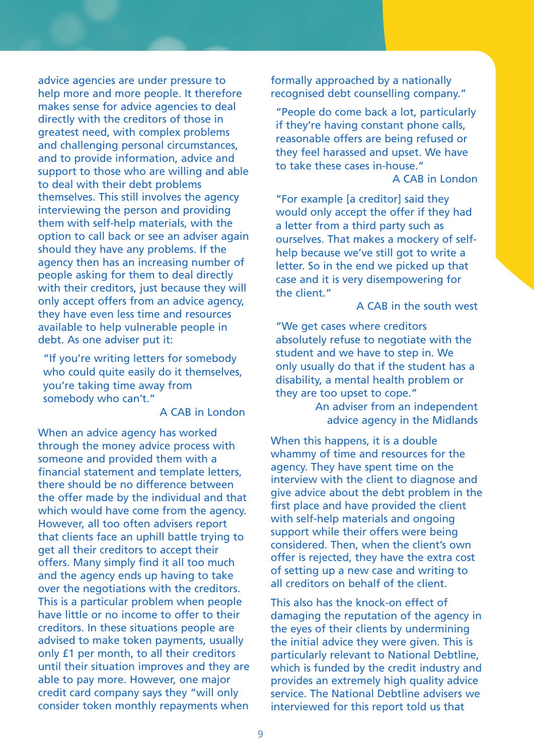advice agencies are under pressure to help more and more people. It therefore makes sense for advice agencies to deal directly with the creditors of those in greatest need, with complex problems and challenging personal circumstances, and to provide information, advice and support to those who are willing and able to deal with their debt problems themselves. This still involves the agency interviewing the person and providing them with self-help materials, with the option to call back or see an adviser again should they have any problems. If the agency then has an increasing number of people asking for them to deal directly with their creditors, just because they will only accept offers from an advice agency, they have even less time and resources available to help vulnerable people in debt. As one adviser put it:

"If you're writing letters for somebody who could quite easily do it themselves, you're taking time away from somebody who can't."

#### A CAB in London

When an advice agency has worked through the money advice process with someone and provided them with a financial statement and template letters, there should be no difference between the offer made by the individual and that which would have come from the agency. However, all too often advisers report that clients face an uphill battle trying to get all their creditors to accept their offers. Many simply find it all too much and the agency ends up having to take over the negotiations with the creditors. This is a particular problem when people have little or no income to offer to their creditors. In these situations people are advised to make token payments, usually only £1 per month, to all their creditors until their situation improves and they are able to pay more. However, one major credit card company says they "will only consider token monthly repayments when

formally approached by a nationally recognised debt counselling company."

"People do come back a lot, particularly if they're having constant phone calls, reasonable offers are being refused or they feel harassed and upset. We have to take these cases in-house."

#### A CAB in London

"For example [a creditor] said they would only accept the offer if they had a letter from a third party such as ourselves. That makes a mockery of selfhelp because we've still got to write a letter. So in the end we picked up that case and it is very disempowering for the client."

A CAB in the south west

"We get cases where creditors absolutely refuse to negotiate with the student and we have to step in. We only usually do that if the student has a disability, a mental health problem or they are too upset to cope."

> An adviser from an independent advice agency in the Midlands

When this happens, it is a double whammy of time and resources for the agency. They have spent time on the interview with the client to diagnose and give advice about the debt problem in the first place and have provided the client with self-help materials and ongoing support while their offers were being considered. Then, when the client's own offer is rejected, they have the extra cost of setting up a new case and writing to all creditors on behalf of the client.

This also has the knock-on effect of damaging the reputation of the agency in the eyes of their clients by undermining the initial advice they were given. This is particularly relevant to National Debtline, which is funded by the credit industry and provides an extremely high quality advice service. The National Debtline advisers we interviewed for this report told us that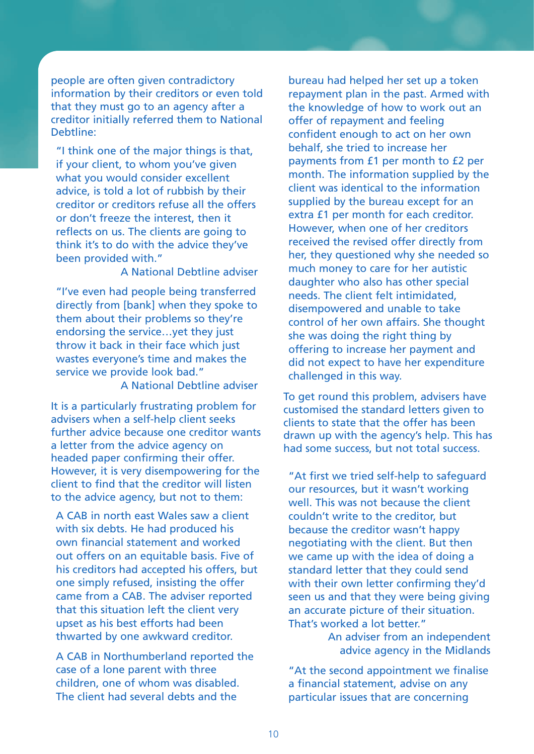people are often given contradictory information by their creditors or even told that they must go to an agency after a creditor initially referred them to National Debtline:

"I think one of the major things is that, if your client, to whom you've given what you would consider excellent advice, is told a lot of rubbish by their creditor or creditors refuse all the offers or don't freeze the interest, then it reflects on us. The clients are going to think it's to do with the advice they've been provided with."

A National Debtline adviser

"I've even had people being transferred directly from [bank] when they spoke to them about their problems so they're endorsing the service…yet they just throw it back in their face which just wastes everyone's time and makes the service we provide look bad." A National Debtline adviser

It is a particularly frustrating problem for advisers when a self-help client seeks further advice because one creditor wants a letter from the advice agency on headed paper confirming their offer. However, it is very disempowering for the client to find that the creditor will listen to the advice agency, but not to them:

A CAB in north east Wales saw a client with six debts. He had produced his own financial statement and worked out offers on an equitable basis. Five of his creditors had accepted his offers, but one simply refused, insisting the offer came from a CAB. The adviser reported that this situation left the client very upset as his best efforts had been thwarted by one awkward creditor.

A CAB in Northumberland reported the case of a lone parent with three children, one of whom was disabled. The client had several debts and the

bureau had helped her set up a token repayment plan in the past. Armed with the knowledge of how to work out an offer of repayment and feeling confident enough to act on her own behalf, she tried to increase her payments from £1 per month to £2 per month. The information supplied by the client was identical to the information supplied by the bureau except for an extra £1 per month for each creditor. However, when one of her creditors received the revised offer directly from her, they questioned why she needed so much money to care for her autistic daughter who also has other special needs. The client felt intimidated, disempowered and unable to take control of her own affairs. She thought she was doing the right thing by offering to increase her payment and did not expect to have her expenditure challenged in this way.

To get round this problem, advisers have customised the standard letters given to clients to state that the offer has been drawn up with the agency's help. This has had some success, but not total success.

"At first we tried self-help to safeguard our resources, but it wasn't working well. This was not because the client couldn't write to the creditor, but because the creditor wasn't happy negotiating with the client. But then we came up with the idea of doing a standard letter that they could send with their own letter confirming they'd seen us and that they were being giving an accurate picture of their situation. That's worked a lot better."

> An adviser from an independent advice agency in the Midlands

"At the second appointment we finalise a financial statement, advise on any particular issues that are concerning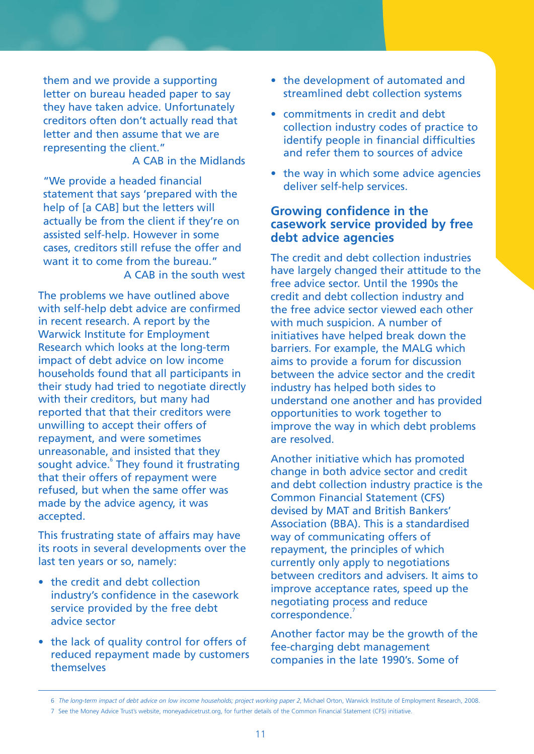them and we provide a supporting letter on bureau headed paper to say they have taken advice. Unfortunately creditors often don't actually read that letter and then assume that we are representing the client."

A CAB in the Midlands

"We provide a headed financial statement that says 'prepared with the help of [a CAB] but the letters will actually be from the client if they're on assisted self-help. However in some cases, creditors still refuse the offer and want it to come from the bureau." A CAB in the south west

The problems we have outlined above with self-help debt advice are confirmed in recent research. A report by the Warwick Institute for Employment Research which looks at the long-term impact of debt advice on low income households found that all participants in their study had tried to negotiate directly with their creditors, but many had reported that that their creditors were unwilling to accept their offers of repayment, and were sometimes unreasonable, and insisted that they sought advice. <sup>6</sup> They found it frustrating that their offers of repayment were refused, but when the same offer was made by the advice agency, it was accepted.

This frustrating state of affairs may have its roots in several developments over the last ten years or so, namely:

- the credit and debt collection industry's confidence in the casework service provided by the free debt advice sector
- the lack of quality control for offers of reduced repayment made by customers themselves
- the development of automated and streamlined debt collection systems
- commitments in credit and debt collection industry codes of practice to identify people in financial difficulties and refer them to sources of advice
- the way in which some advice agencies deliver self-help services.

## **Growing confidence in the casework service provided by free debt advice agencies**

The credit and debt collection industries have largely changed their attitude to the free advice sector. Until the 1990s the credit and debt collection industry and the free advice sector viewed each other with much suspicion. A number of initiatives have helped break down the barriers. For example, the MALG which aims to provide a forum for discussion between the advice sector and the credit industry has helped both sides to understand one another and has provided opportunities to work together to improve the way in which debt problems are resolved.

Another initiative which has promoted change in both advice sector and credit and debt collection industry practice is the Common Financial Statement (CFS) devised by MAT and British Bankers' Association (BBA). This is a standardised way of communicating offers of repayment, the principles of which currently only apply to negotiations between creditors and advisers. It aims to improve acceptance rates, speed up the negotiating process and reduce correspondence.

Another factor may be the growth of the fee-charging debt management companies in the late 1990's. Some of

<sup>6</sup> The long-term impact of debt advice on low income households; project working paper 2, Michael Orton, Warwick Institute of Employment Research, 2008.

<sup>7</sup> See the Money Advice Trust's website, moneyadvicetrust.org, for further details of the Common Financial Statement (CFS) initiative.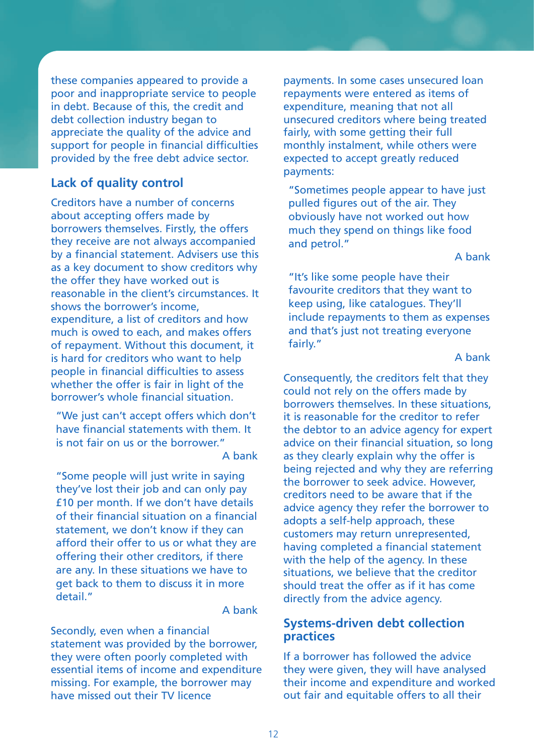these companies appeared to provide a poor and inappropriate service to people in debt. Because of this, the credit and debt collection industry began to appreciate the quality of the advice and support for people in financial difficulties provided by the free debt advice sector.

## **Lack of quality control**

Creditors have a number of concerns about accepting offers made by borrowers themselves. Firstly, the offers they receive are not always accompanied by a financial statement. Advisers use this as a key document to show creditors why the offer they have worked out is reasonable in the client's circumstances. It shows the borrower's income, expenditure, a list of creditors and how much is owed to each, and makes offers of repayment. Without this document, it is hard for creditors who want to help people in financial difficulties to assess whether the offer is fair in light of the borrower's whole financial situation.

"We just can't accept offers which don't have financial statements with them. It is not fair on us or the borrower."

A bank

"Some people will just write in saying they've lost their job and can only pay £10 per month. If we don't have details of their financial situation on a financial statement, we don't know if they can afford their offer to us or what they are offering their other creditors, if there are any. In these situations we have to get back to them to discuss it in more detail."

A bank

Secondly, even when a financial statement was provided by the borrower, they were often poorly completed with essential items of income and expenditure missing. For example, the borrower may have missed out their TV licence

payments. In some cases unsecured loan repayments were entered as items of expenditure, meaning that not all unsecured creditors where being treated fairly, with some getting their full monthly instalment, while others were expected to accept greatly reduced payments:

"Sometimes people appear to have just pulled figures out of the air. They obviously have not worked out how much they spend on things like food and petrol."

A bank

"It's like some people have their favourite creditors that they want to keep using, like catalogues. They'll include repayments to them as expenses and that's just not treating everyone fairly."

#### A bank

Consequently, the creditors felt that they could not rely on the offers made by borrowers themselves. In these situations, it is reasonable for the creditor to refer the debtor to an advice agency for expert advice on their financial situation, so long as they clearly explain why the offer is being rejected and why they are referring the borrower to seek advice. However, creditors need to be aware that if the advice agency they refer the borrower to adopts a self-help approach, these customers may return unrepresented, having completed a financial statement with the help of the agency. In these situations, we believe that the creditor should treat the offer as if it has come directly from the advice agency.

## **Systems-driven debt collection practices**

If a borrower has followed the advice they were given, they will have analysed their income and expenditure and worked out fair and equitable offers to all their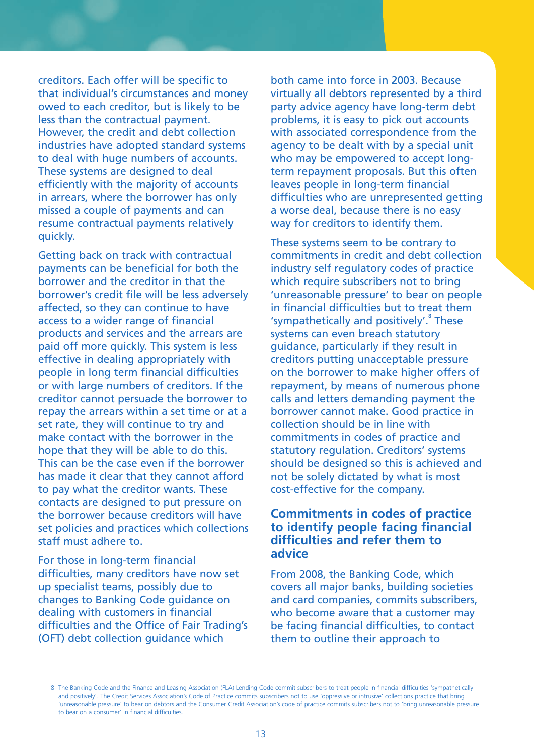creditors. Each offer will be specific to that individual's circumstances and money owed to each creditor, but is likely to be less than the contractual payment. However, the credit and debt collection industries have adopted standard systems to deal with huge numbers of accounts. These systems are designed to deal efficiently with the majority of accounts in arrears, where the borrower has only missed a couple of payments and can resume contractual payments relatively quickly.

Getting back on track with contractual payments can be beneficial for both the borrower and the creditor in that the borrower's credit file will be less adversely affected, so they can continue to have access to a wider range of financial products and services and the arrears are paid off more quickly. This system is less effective in dealing appropriately with people in long term financial difficulties or with large numbers of creditors. If the creditor cannot persuade the borrower to repay the arrears within a set time or at a set rate, they will continue to try and make contact with the borrower in the hope that they will be able to do this. This can be the case even if the borrower has made it clear that they cannot afford to pay what the creditor wants. These contacts are designed to put pressure on the borrower because creditors will have set policies and practices which collections staff must adhere to.

For those in long-term financial difficulties, many creditors have now set up specialist teams, possibly due to changes to Banking Code guidance on dealing with customers in financial difficulties and the Office of Fair Trading's (OFT) debt collection guidance which

both came into force in 2003. Because virtually all debtors represented by a third party advice agency have long-term debt problems, it is easy to pick out accounts with associated correspondence from the agency to be dealt with by a special unit who may be empowered to accept longterm repayment proposals. But this often leaves people in long-term financial difficulties who are unrepresented getting a worse deal, because there is no easy way for creditors to identify them.

These systems seem to be contrary to commitments in credit and debt collection industry self regulatory codes of practice which require subscribers not to bring 'unreasonable pressure' to bear on people in financial difficulties but to treat them 'sympathetically and positively'. These systems can even breach statutory guidance, particularly if they result in creditors putting unacceptable pressure on the borrower to make higher offers of repayment, by means of numerous phone calls and letters demanding payment the borrower cannot make. Good practice in collection should be in line with commitments in codes of practice and statutory regulation. Creditors' systems should be designed so this is achieved and not be solely dictated by what is most cost-effective for the company.

## **Commitments in codes of practice to identify people facing financial difficulties and refer them to advice**

From 2008, the Banking Code, which covers all major banks, building societies and card companies, commits subscribers, who become aware that a customer may be facing financial difficulties, to contact them to outline their approach to

<sup>8</sup> The Banking Code and the Finance and Leasing Association (FLA) Lending Code commit subscribers to treat people in financial difficulties 'sympathetically and positively'. The Credit Services Association's Code of Practice commits subscribers not to use 'oppressive or intrusive' collections practice that bring 'unreasonable pressure' to bear on debtors and the Consumer Credit Association's code of practice commits subscribers not to 'bring unreasonable pressure to bear on a consumer' in financial difficulties.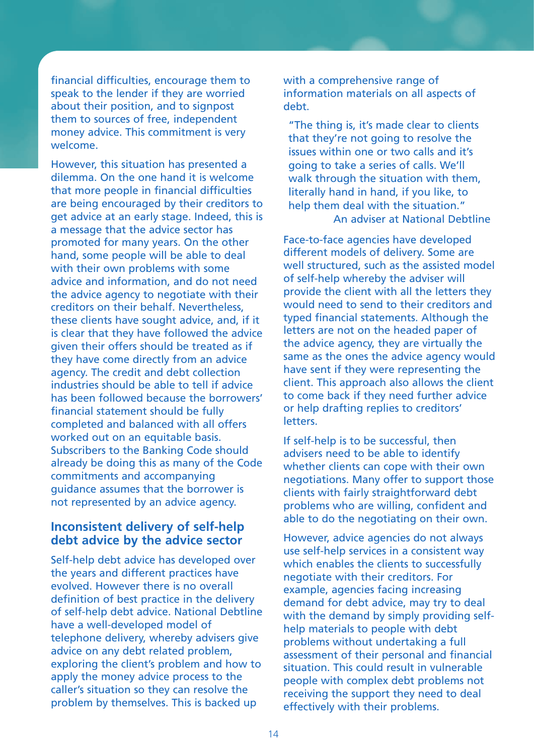financial difficulties, encourage them to speak to the lender if they are worried about their position, and to signpost them to sources of free, independent money advice. This commitment is very welcome.

However, this situation has presented a dilemma. On the one hand it is welcome that more people in financial difficulties are being encouraged by their creditors to get advice at an early stage. Indeed, this is a message that the advice sector has promoted for many years. On the other hand, some people will be able to deal with their own problems with some advice and information, and do not need the advice agency to negotiate with their creditors on their behalf. Nevertheless, these clients have sought advice, and, if it is clear that they have followed the advice given their offers should be treated as if they have come directly from an advice agency. The credit and debt collection industries should be able to tell if advice has been followed because the borrowers' financial statement should be fully completed and balanced with all offers worked out on an equitable basis. Subscribers to the Banking Code should already be doing this as many of the Code commitments and accompanying guidance assumes that the borrower is not represented by an advice agency.

## **Inconsistent delivery of self-help debt advice by the advice sector**

Self-help debt advice has developed over the years and different practices have evolved. However there is no overall definition of best practice in the delivery of self-help debt advice. National Debtline have a well-developed model of telephone delivery, whereby advisers give advice on any debt related problem, exploring the client's problem and how to apply the money advice process to the caller's situation so they can resolve the problem by themselves. This is backed up

with a comprehensive range of information materials on all aspects of debt.

"The thing is, it's made clear to clients that they're not going to resolve the issues within one or two calls and it's going to take a series of calls. We'll walk through the situation with them, literally hand in hand, if you like, to help them deal with the situation." An adviser at National Debtline

Face-to-face agencies have developed different models of delivery. Some are well structured, such as the assisted model of self-help whereby the adviser will provide the client with all the letters they would need to send to their creditors and typed financial statements. Although the letters are not on the headed paper of the advice agency, they are virtually the same as the ones the advice agency would have sent if they were representing the client. This approach also allows the client to come back if they need further advice or help drafting replies to creditors' letters.

If self-help is to be successful, then advisers need to be able to identify whether clients can cope with their own negotiations. Many offer to support those clients with fairly straightforward debt problems who are willing, confident and able to do the negotiating on their own.

However, advice agencies do not always use self-help services in a consistent way which enables the clients to successfully negotiate with their creditors. For example, agencies facing increasing demand for debt advice, may try to deal with the demand by simply providing selfhelp materials to people with debt problems without undertaking a full assessment of their personal and financial situation. This could result in vulnerable people with complex debt problems not receiving the support they need to deal effectively with their problems.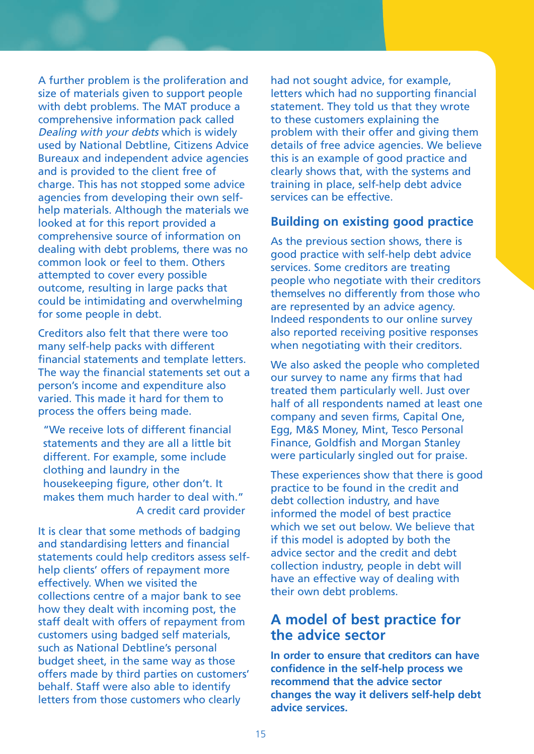A further problem is the proliferation and size of materials given to support people with debt problems. The MAT produce a comprehensive information pack called Dealing with your debts which is widely used by National Debtline, Citizens Advice Bureaux and independent advice agencies and is provided to the client free of charge. This has not stopped some advice agencies from developing their own selfhelp materials. Although the materials we looked at for this report provided a comprehensive source of information on dealing with debt problems, there was no common look or feel to them. Others attempted to cover every possible outcome, resulting in large packs that could be intimidating and overwhelming for some people in debt.

Creditors also felt that there were too many self-help packs with different financial statements and template letters. The way the financial statements set out a person's income and expenditure also varied. This made it hard for them to process the offers being made.

"We receive lots of different financial statements and they are all a little bit different. For example, some include clothing and laundry in the housekeeping figure, other don't. It makes them much harder to deal with." A credit card provider

It is clear that some methods of badging and standardising letters and financial statements could help creditors assess selfhelp clients' offers of repayment more effectively. When we visited the collections centre of a major bank to see how they dealt with incoming post, the staff dealt with offers of repayment from customers using badged self materials, such as National Debtline's personal budget sheet, in the same way as those offers made by third parties on customers' behalf. Staff were also able to identify letters from those customers who clearly

had not sought advice, for example, letters which had no supporting financial statement. They told us that they wrote to these customers explaining the problem with their offer and giving them details of free advice agencies. We believe this is an example of good practice and clearly shows that, with the systems and training in place, self-help debt advice services can be effective.

## **Building on existing good practice**

As the previous section shows, there is good practice with self-help debt advice services. Some creditors are treating people who negotiate with their creditors themselves no differently from those who are represented by an advice agency. Indeed respondents to our online survey also reported receiving positive responses when negotiating with their creditors.

We also asked the people who completed our survey to name any firms that had treated them particularly well. Just over half of all respondents named at least one company and seven firms, Capital One, Egg, M&S Money, Mint, Tesco Personal Finance, Goldfish and Morgan Stanley were particularly singled out for praise.

These experiences show that there is good practice to be found in the credit and debt collection industry, and have informed the model of best practice which we set out below. We believe that if this model is adopted by both the advice sector and the credit and debt collection industry, people in debt will have an effective way of dealing with their own debt problems.

# **A model of best practice for the advice sector**

**In order to ensure that creditors can have confidence in the self-help process we recommend that the advice sector changes the way it delivers self-help debt advice services.**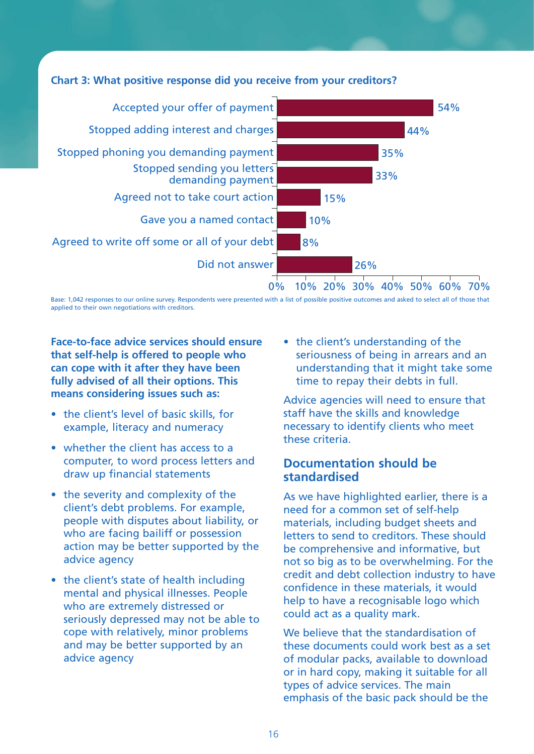

## **Chart 3: What positive response did you receive from your creditors?**

Base: 1,042 responses to our online survey. Respondents were presented with a list of possible positive outcomes and asked to select all of those that applied to their own negotiations with creditors.

**Face-to-face advice services should ensure that self-help is offered to people who can cope with it after they have been fully advised of all their options. This means considering issues such as:**

- the client's level of basic skills, for example, literacy and numeracy
- whether the client has access to a computer, to word process letters and draw up financial statements
- the severity and complexity of the client's debt problems. For example, people with disputes about liability, or who are facing bailiff or possession action may be better supported by the advice agency
- the client's state of health including mental and physical illnesses. People who are extremely distressed or seriously depressed may not be able to cope with relatively, minor problems and may be better supported by an advice agency

• the client's understanding of the seriousness of being in arrears and an understanding that it might take some time to repay their debts in full.

Advice agencies will need to ensure that staff have the skills and knowledge necessary to identify clients who meet these criteria.

## **Documentation should be standardised**

As we have highlighted earlier, there is a need for a common set of self-help materials, including budget sheets and letters to send to creditors. These should be comprehensive and informative, but not so big as to be overwhelming. For the credit and debt collection industry to have confidence in these materials, it would help to have a recognisable logo which could act as a quality mark.

We believe that the standardisation of these documents could work best as a set of modular packs, available to download or in hard copy, making it suitable for all types of advice services. The main emphasis of the basic pack should be the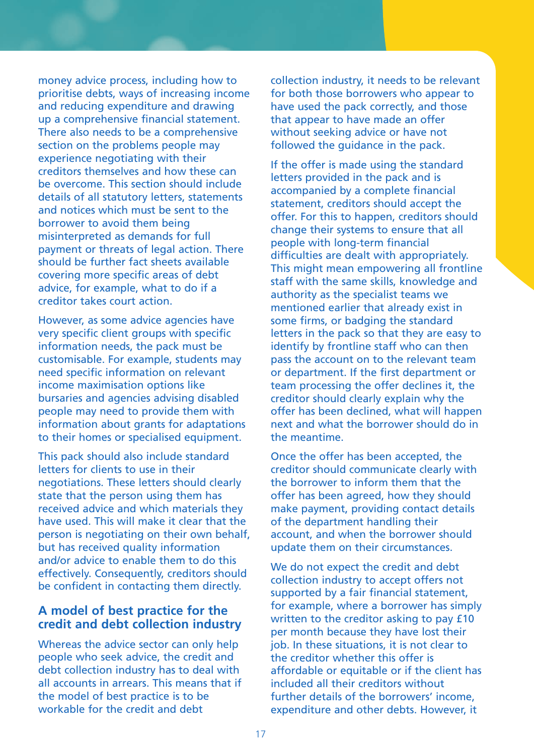money advice process, including how to prioritise debts, ways of increasing income and reducing expenditure and drawing up a comprehensive financial statement. There also needs to be a comprehensive section on the problems people may experience negotiating with their creditors themselves and how these can be overcome. This section should include details of all statutory letters, statements and notices which must be sent to the borrower to avoid them being misinterpreted as demands for full payment or threats of legal action. There should be further fact sheets available covering more specific areas of debt advice, for example, what to do if a creditor takes court action.

However, as some advice agencies have very specific client groups with specific information needs, the pack must be customisable. For example, students may need specific information on relevant income maximisation options like bursaries and agencies advising disabled people may need to provide them with information about grants for adaptations to their homes or specialised equipment.

This pack should also include standard letters for clients to use in their negotiations. These letters should clearly state that the person using them has received advice and which materials they have used. This will make it clear that the person is negotiating on their own behalf, but has received quality information and/or advice to enable them to do this effectively. Consequently, creditors should be confident in contacting them directly.

## **A model of best practice for the credit and debt collection industry**

Whereas the advice sector can only help people who seek advice, the credit and debt collection industry has to deal with all accounts in arrears. This means that if the model of best practice is to be workable for the credit and debt

collection industry, it needs to be relevant for both those borrowers who appear to have used the pack correctly, and those that appear to have made an offer without seeking advice or have not followed the guidance in the pack.

If the offer is made using the standard letters provided in the pack and is accompanied by a complete financial statement, creditors should accept the offer. For this to happen, creditors should change their systems to ensure that all people with long-term financial difficulties are dealt with appropriately. This might mean empowering all frontline staff with the same skills, knowledge and authority as the specialist teams we mentioned earlier that already exist in some firms, or badging the standard letters in the pack so that they are easy to identify by frontline staff who can then pass the account on to the relevant team or department. If the first department or team processing the offer declines it, the creditor should clearly explain why the offer has been declined, what will happen next and what the borrower should do in the meantime.

Once the offer has been accepted, the creditor should communicate clearly with the borrower to inform them that the offer has been agreed, how they should make payment, providing contact details of the department handling their account, and when the borrower should update them on their circumstances.

We do not expect the credit and debt collection industry to accept offers not supported by a fair financial statement, for example, where a borrower has simply written to the creditor asking to pay £10 per month because they have lost their job. In these situations, it is not clear to the creditor whether this offer is affordable or equitable or if the client has included all their creditors without further details of the borrowers' income, expenditure and other debts. However, it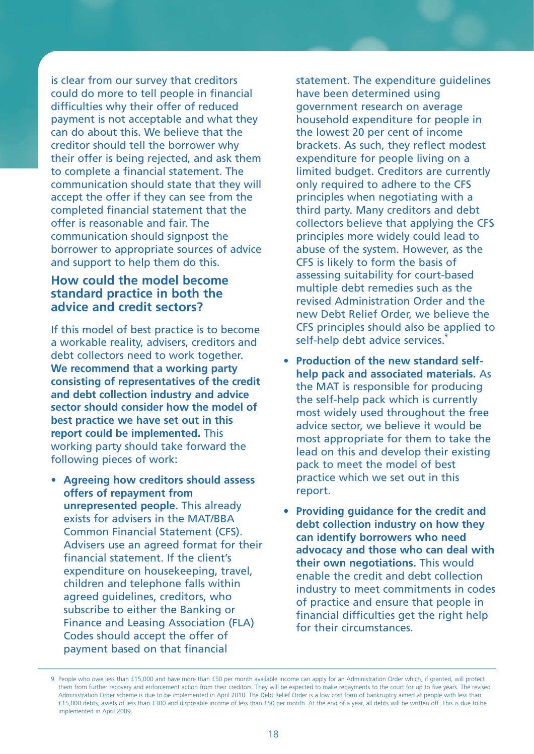is clear from our survey that creditors could do more to tell people in financial difficulties why their offer of reduced payment is not acceptable and what they can do about this. We believe that the creditor should tell the borrower why their offer is being rejected, and ask them to complete a financial statement. The communication should state that they will accept the offer if they can see from the completed financial statement that the offer is reasonable and fair. The communication should signpost the borrower to appropriate sources of advice and support to help them do this.

## **How could the model become standard practice in both the advice and credit sectors?**

If this model of best practice is to become a workable reality, advisers, creditors and debt collectors need to work together. **We recommend that a working party consisting of representatives of the credit and debt collection industry and advice sector should consider how the model of best practice we have set out in this report could be implemented.** This working party should take forward the following pieces of work:

• **Agreeing how creditors should assess offers of repayment from unrepresented people.** This already exists for advisers in the MAT/BBA Common Financial Statement (CFS). Advisers use an agreed format for their financial statement. If the client's expenditure on housekeeping, travel, children and telephone falls within agreed guidelines, creditors, who subscribe to either the Banking or Finance and Leasing Association (FLA) Codes should accept the offer of payment based on that financial

statement. The expenditure guidelines have been determined using government research on average household expenditure for people in the lowest 20 per cent of income brackets. As such, they reflect modest expenditure for people living on a limited budget. Creditors are currently only required to adhere to the CFS principles when negotiating with a third party. Many creditors and debt collectors believe that applying the CFS principles more widely could lead to abuse of the system. However, as the CFS is likely to form the basis of assessing suitability for court-based multiple debt remedies such as the revised Administration Order and the new Debt Relief Order, we believe the CFS principles should also be applied to self-help debt advice services.

- **Production of the new standard selfhelp pack and associated materials.** As the MAT is responsible for producing the self-help pack which is currently most widely used throughout the free advice sector, we believe it would be most appropriate for them to take the lead on this and develop their existing pack to meet the model of best practice which we set out in this report.
- **Providing guidance for the credit and debt collection industry on how they can identify borrowers who need advocacy and those who can deal with their own negotiations.** This would enable the credit and debt collection industry to meet commitments in codes of practice and ensure that people in financial difficulties get the right help for their circumstances.

<sup>9</sup> People who owe less than £15,000 and have more than £50 per month available income can apply for an Administration Order which, if granted, will protect them from further recovery and enforcement action from their creditors. They will be expected to make repayments to the court for up to five years. The revised Administration Order scheme is due to be implemented in April 2010. The Debt Relief Order is a low cost form of bankruptcy aimed at people with less than £15,000 debts, assets of less than £300 and disposable income of less than £50 per month. At the end of a year, all debts will be written off. This is due to be implemented in April 2009.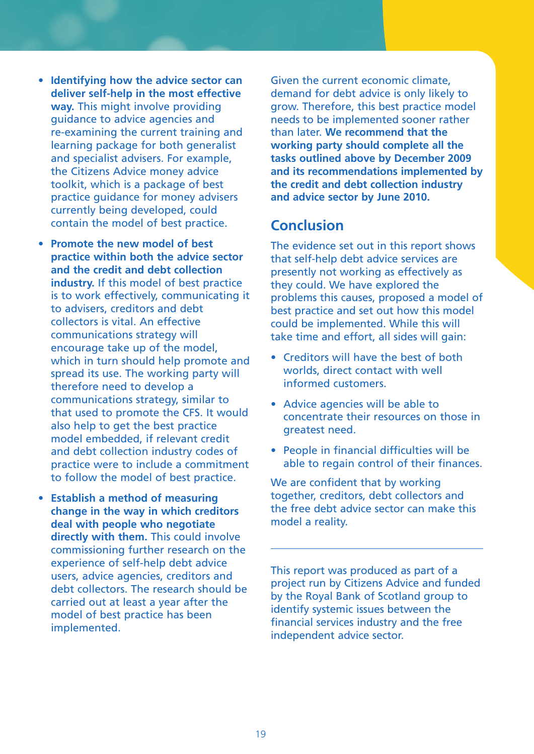- **Identifying how the advice sector can deliver self-help in the most effective way.** This might involve providing guidance to advice agencies and re-examining the current training and learning package for both generalist and specialist advisers. For example, the Citizens Advice money advice toolkit, which is a package of best practice guidance for money advisers currently being developed, could contain the model of best practice.
- **Promote the new model of best practice within both the advice sector and the credit and debt collection industry.** If this model of best practice is to work effectively, communicating it to advisers, creditors and debt collectors is vital. An effective communications strategy will encourage take up of the model, which in turn should help promote and spread its use. The working party will therefore need to develop a communications strategy, similar to that used to promote the CFS. It would also help to get the best practice model embedded, if relevant credit and debt collection industry codes of practice were to include a commitment to follow the model of best practice.
- **Establish a method of measuring change in the way in which creditors deal with people who negotiate directly with them.** This could involve commissioning further research on the experience of self-help debt advice users, advice agencies, creditors and debt collectors. The research should be carried out at least a year after the model of best practice has been implemented.

Given the current economic climate, demand for debt advice is only likely to grow. Therefore, this best practice model needs to be implemented sooner rather than later. **We recommend that the working party should complete all the tasks outlined above by December 2009 and its recommendations implemented by the credit and debt collection industry and advice sector by June 2010.**

# **Conclusion**

The evidence set out in this report shows that self-help debt advice services are presently not working as effectively as they could. We have explored the problems this causes, proposed a model of best practice and set out how this model could be implemented. While this will take time and effort, all sides will gain:

- Creditors will have the best of both worlds, direct contact with well informed customers.
- Advice agencies will be able to concentrate their resources on those in greatest need.
- People in financial difficulties will be able to regain control of their finances.

We are confident that by working together, creditors, debt collectors and the free debt advice sector can make this model a reality.

This report was produced as part of a project run by Citizens Advice and funded by the Royal Bank of Scotland group to identify systemic issues between the financial services industry and the free independent advice sector.